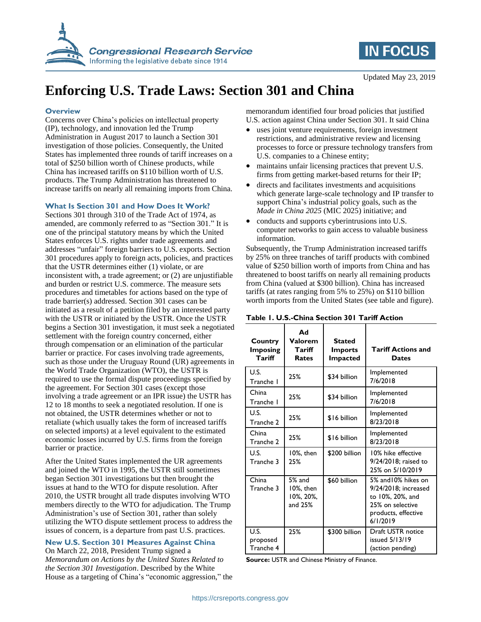

# **IN FOCUS**

Updated May 23, 2019

# **Enforcing U.S. Trade Laws: Section 301 and China**

#### **Overview**

Concerns over China's policies on intellectual property (IP), technology, and innovation led the Trump Administration in August 2017 to launch a Section 301 investigation of those policies. Consequently, the United States has implemented three rounds of tariff increases on a total of \$250 billion worth of Chinese products, while China has increased tariffs on \$110 billion worth of U.S. products. The Trump Administration has threatened to increase tariffs on nearly all remaining imports from China.

#### **What Is Section 301 and How Does It Work?**

Sections 301 through 310 of the Trade Act of 1974, as amended, are commonly referred to as "Section 301." It is one of the principal statutory means by which the United States enforces U.S. rights under trade agreements and addresses "unfair" foreign barriers to U.S. exports. Section 301 procedures apply to foreign acts, policies, and practices that the USTR determines either (1) violate, or are inconsistent with, a trade agreement; or (2) are unjustifiable and burden or restrict U.S. commerce. The measure sets procedures and timetables for actions based on the type of trade barrier(s) addressed. Section 301 cases can be initiated as a result of a petition filed by an interested party with the USTR or initiated by the USTR. Once the USTR begins a Section 301 investigation, it must seek a negotiated settlement with the foreign country concerned, either through compensation or an elimination of the particular barrier or practice. For cases involving trade agreements, such as those under the Uruguay Round (UR) agreements in the World Trade Organization (WTO), the USTR is required to use the formal dispute proceedings specified by the agreement. For Section 301 cases (except those involving a trade agreement or an IPR issue) the USTR has 12 to 18 months to seek a negotiated resolution. If one is not obtained, the USTR determines whether or not to retaliate (which usually takes the form of increased tariffs on selected imports) at a level equivalent to the estimated economic losses incurred by U.S. firms from the foreign barrier or practice.

After the United States implemented the UR agreements and joined the WTO in 1995, the USTR still sometimes began Section 301 investigations but then brought the issues at hand to the WTO for dispute resolution. After 2010, the USTR brought all trade disputes involving WTO members directly to the WTO for adjudication. The Trump Administration's use of Section 301, rather than solely utilizing the WTO dispute settlement process to address the issues of concern, is a departure from past U.S. practices.

**New U.S. Section 301 Measures Against China** On March 22, 2018, President Trump signed a *Memorandum on Actions by the United States Related to* 

*the Section 301 Investigation*. Described by the White House as a targeting of China's "economic aggression," the memorandum identified four broad policies that justified U.S. action against China under Section 301. It said China

- uses joint venture requirements, foreign investment restrictions, and administrative review and licensing processes to force or pressure technology transfers from U.S. companies to a Chinese entity;
- maintains unfair licensing practices that prevent U.S. firms from getting market-based returns for their IP;
- directs and facilitates investments and acquisitions which generate large-scale technology and IP transfer to support China's industrial policy goals, such as the *Made in China 2025* (MIC 2025) initiative; and
- conducts and supports cyberintrusions into U.S. computer networks to gain access to valuable business information.

Subsequently, the Trump Administration increased tariffs by 25% on three tranches of tariff products with combined value of \$250 billion worth of imports from China and has threatened to boost tariffs on nearly all remaining products from China (valued at \$300 billion). China has increased tariffs (at rates ranging from 5% to 25%) on \$110 billion worth imports from the United States (see table and figure).

| Country<br><b>Imposing</b><br>Tariff | Ad<br>Valorem<br>Tariff<br>Rates              | <b>Stated</b><br><b>Imports</b><br><b>Impacted</b> | <b>Tariff Actions and</b><br><b>Dates</b>                                                                              |
|--------------------------------------|-----------------------------------------------|----------------------------------------------------|------------------------------------------------------------------------------------------------------------------------|
| U.S.<br>Tranche I                    | 25%                                           | \$34 billion                                       | Implemented<br>7/6/2018                                                                                                |
| China<br>Tranche I                   | 25%                                           | \$34 billion                                       | Implemented<br>7/6/2018                                                                                                |
| U.S.<br>Tranche 2                    | 25%                                           | \$16 billion                                       | Implemented<br>8/23/2018                                                                                               |
| China<br>Tranche 2                   | 25%                                           | \$16 billion                                       | Implemented<br>8/23/2018                                                                                               |
| U.S.<br>Tranche 3                    | 10%, then<br>25%                              | \$200 billion                                      | 10% hike effective<br>9/24/2018: raised to<br>25% on 5/10/2019                                                         |
| China<br>Tranche 3                   | $5%$ and<br>10%, then<br>10%, 20%,<br>and 25% | \$60 billion                                       | 5% and 10% hikes on<br>9/24/2018; increased<br>to 10%, 20%, and<br>25% on selective<br>products, effective<br>6/1/2019 |
| U.S.<br>proposed<br>Tranche 4        | 25%                                           | \$300 billion                                      | Draft USTR notice<br>issued 5/13/19<br>(action pending)                                                                |

**Table 1. U.S.-China Section 301 Tariff Action**

**Source:** USTR and Chinese Ministry of Finance.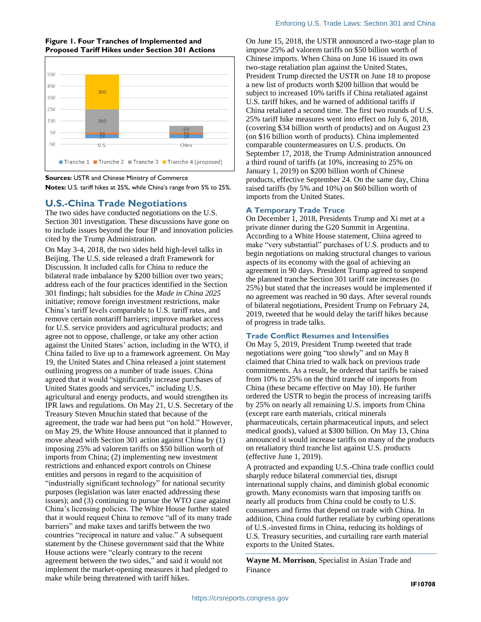#### **Figure 1. Four Tranches of Implemented and Proposed Tariff Hikes under Section 301 Actions**



#### **Sources:** USTR and Chinese Ministry of Commerce

**Notes:** U.S. tariff hikes at 25%, while China's range from 5% to 25%.

## **U.S.-China Trade Negotiations**

The two sides have conducted negotiations on the U.S. Section 301 investigation. These discussions have gone on to include issues beyond the four IP and innovation policies cited by the Trump Administration.

On May 3-4, 2018, the two sides held high-level talks in Beijing. The U.S. side released a draft Framework for Discussion. It included calls for China to reduce the bilateral trade imbalance by \$200 billion over two years; address each of the four practices identified in the Section 301 findings; halt subsidies for the *Made in China 2025* initiative; remove foreign investment restrictions, make China's tariff levels comparable to U.S. tariff rates, and remove certain nontariff barriers; improve market access for U.S. service providers and agricultural products; and agree not to oppose, challenge, or take any other action against the United States' action, including in the WTO, if China failed to live up to a framework agreement. On May 19, the United States and China released a joint statement outlining progress on a number of trade issues. China agreed that it would "significantly increase purchases of United States goods and services," including U.S. agricultural and energy products, and would strengthen its IPR laws and regulations. On May 21, U.S. Secretary of the Treasury Steven Mnuchin stated that because of the agreement, the trade war had been put "on hold." However, on May 29, the White House announced that it planned to move ahead with Section 301 action against China by (1) imposing 25% ad valorem tariffs on \$50 billion worth of imports from China; (2) implementing new investment restrictions and enhanced export controls on Chinese entities and persons in regard to the acquisition of "industrially significant technology" for national security purposes (legislation was later enacted addressing these issues); and (3) continuing to pursue the WTO case against China's licensing policies. The White House further stated that it would request China to remove "all of its many trade barriers" and make taxes and tariffs between the two countries "reciprocal in nature and value." A subsequent statement by the Chinese government said that the White House actions were "clearly contrary to the recent agreement between the two sides," and said it would not implement the market-opening measures it had pledged to make while being threatened with tariff hikes.

On June 15, 2018, the USTR announced a two-stage plan to impose 25% ad valorem tariffs on \$50 billion worth of Chinese imports. When China on June 16 issued its own two-stage retaliation plan against the United States, President Trump directed the USTR on June 18 to propose a new list of products worth \$200 billion that would be subject to increased 10% tariffs if China retaliated against U.S. tariff hikes, and he warned of additional tariffs if China retaliated a second time. The first two rounds of U.S. 25% tariff hike measures went into effect on July 6, 2018, (covering \$34 billion worth of products) and on August 23 (on \$16 billion worth of products). China implemented comparable countermeasures on U.S. products. On September 17, 2018, the Trump Administration announced a third round of tariffs (at 10%, increasing to 25% on January 1, 2019) on \$200 billion worth of Chinese products, effective September 24. On the same day, China raised tariffs (by 5% and 10%) on \$60 billion worth of imports from the United States.

### **A Temporary Trade Truce**

On December 1, 2018, Presidents Trump and Xi met at a private dinner during the G20 Summit in Argentina. According to a White House statement, China agreed to make "very substantial" purchases of U.S. products and to begin negotiations on making structural changes to various aspects of its economy with the goal of achieving an agreement in 90 days. President Trump agreed to suspend the planned tranche Section 301 tariff rate increases (to 25%) but stated that the increases would be implemented if no agreement was reached in 90 days. After several rounds of bilateral negotiations, President Trump on February 24, 2019, tweeted that he would delay the tariff hikes because of progress in trade talks.

### **Trade Conflict Resumes and Intensifies**

On May 5, 2019, President Trump tweeted that trade negotiations were going "too slowly" and on May 8 claimed that China tried to walk back on previous trade commitments. As a result, he ordered that tariffs be raised from 10% to 25% on the third tranche of imports from China (these became effective on May 10). He further ordered the USTR to begin the process of increasing tariffs by 25% on nearly all remaining U.S. imports from China (except rare earth materials, critical minerals pharmaceuticals, certain pharmaceutical inputs, and select medical goods), valued at \$300 billion. On May 13, China announced it would increase tariffs on many of the products on retaliatory third tranche list against U.S. products (effective June 1, 2019).

A protracted and expanding U.S.-China trade conflict could sharply reduce bilateral commercial ties, disrupt international supply chains, and diminish global economic growth. Many economists warn that imposing tariffs on nearly all products from China could be costly to U.S. consumers and firms that depend on trade with China. In addition, China could further retaliate by curbing operations of U.S.-invested firms in China, reducing its holdings of U.S. Treasury securities, and curtailing rare earth material exports to the United States.

**Wayne M. Morrison**, Specialist in Asian Trade and Finance